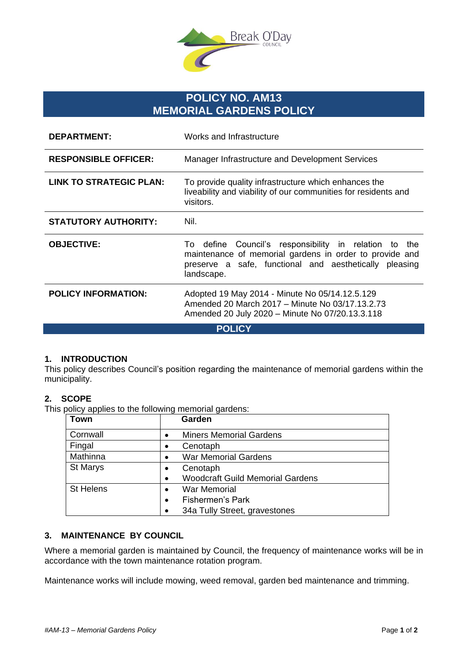

# **POLICY NO. AM13 MEMORIAL GARDENS POLICY**

| <b>DEPARTMENT:</b>          | Works and Infrastructure                                                                                                                                                                          |
|-----------------------------|---------------------------------------------------------------------------------------------------------------------------------------------------------------------------------------------------|
| <b>RESPONSIBLE OFFICER:</b> | Manager Infrastructure and Development Services                                                                                                                                                   |
| LINK TO STRATEGIC PLAN:     | To provide quality infrastructure which enhances the<br>liveability and viability of our communities for residents and<br>visitors.                                                               |
| <b>STATUTORY AUTHORITY:</b> | Nil.                                                                                                                                                                                              |
| <b>OBJECTIVE:</b>           | Council's responsibility in relation<br>To define<br>the<br>to<br>maintenance of memorial gardens in order to provide and<br>preserve a safe, functional and aesthetically pleasing<br>landscape. |
| <b>POLICY INFORMATION:</b>  | Adopted 19 May 2014 - Minute No 05/14.12.5.129<br>Amended 20 March 2017 - Minute No 03/17.13.2.73<br>Amended 20 July 2020 - Minute No 07/20.13.3.118                                              |
| <b>POLICY</b>               |                                                                                                                                                                                                   |

## **1. INTRODUCTION**

This policy describes Council's position regarding the maintenance of memorial gardens within the municipality.

#### **2. SCOPE**

This policy applies to the following memorial gardens:

| Town             | Garden                                               |
|------------------|------------------------------------------------------|
| Cornwall         | <b>Miners Memorial Gardens</b><br>$\bullet$          |
| Fingal           | Cenotaph<br>$\bullet$                                |
| Mathinna         | <b>War Memorial Gardens</b><br>$\bullet$             |
| St Marys         | Cenotaph<br>$\bullet$                                |
|                  | <b>Woodcraft Guild Memorial Gardens</b><br>$\bullet$ |
| <b>St Helens</b> | <b>War Memorial</b>                                  |
|                  | <b>Fishermen's Park</b><br>$\bullet$                 |
|                  | 34a Tully Street, gravestones                        |

#### **3. MAINTENANCE BY COUNCIL**

Where a memorial garden is maintained by Council, the frequency of maintenance works will be in accordance with the town maintenance rotation program.

Maintenance works will include mowing, weed removal, garden bed maintenance and trimming.